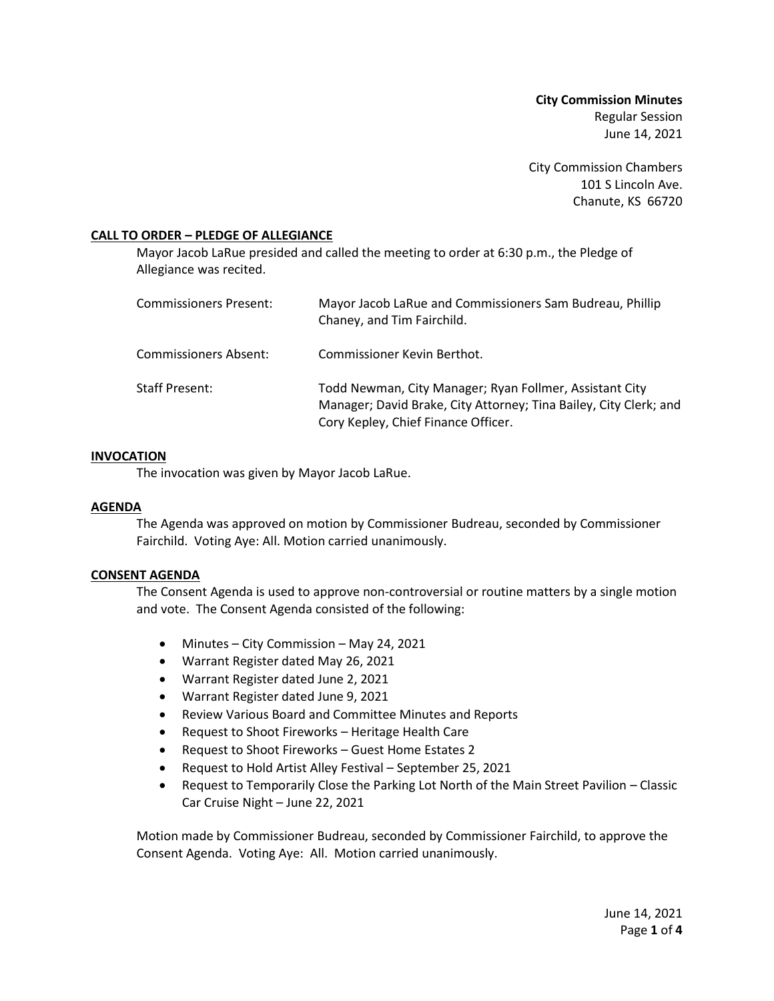**City Commission Minutes** Regular Session June 14, 2021

City Commission Chambers 101 S Lincoln Ave. Chanute, KS 66720

# **CALL TO ORDER – PLEDGE OF ALLEGIANCE**

Mayor Jacob LaRue presided and called the meeting to order at 6:30 p.m., the Pledge of Allegiance was recited.

| <b>Commissioners Present:</b> | Mayor Jacob LaRue and Commissioners Sam Budreau, Phillip<br>Chaney, and Tim Fairchild.                                                                              |
|-------------------------------|---------------------------------------------------------------------------------------------------------------------------------------------------------------------|
| <b>Commissioners Absent:</b>  | Commissioner Kevin Berthot.                                                                                                                                         |
| <b>Staff Present:</b>         | Todd Newman, City Manager; Ryan Follmer, Assistant City<br>Manager; David Brake, City Attorney; Tina Bailey, City Clerk; and<br>Cory Kepley, Chief Finance Officer. |

# **INVOCATION**

The invocation was given by Mayor Jacob LaRue.

# **AGENDA**

The Agenda was approved on motion by Commissioner Budreau, seconded by Commissioner Fairchild. Voting Aye: All. Motion carried unanimously.

# **CONSENT AGENDA**

The Consent Agenda is used to approve non-controversial or routine matters by a single motion and vote. The Consent Agenda consisted of the following:

- Minutes City Commission May 24, 2021
- Warrant Register dated May 26, 2021
- Warrant Register dated June 2, 2021
- Warrant Register dated June 9, 2021
- Review Various Board and Committee Minutes and Reports
- Request to Shoot Fireworks Heritage Health Care
- Request to Shoot Fireworks Guest Home Estates 2
- Request to Hold Artist Alley Festival September 25, 2021
- Request to Temporarily Close the Parking Lot North of the Main Street Pavilion Classic Car Cruise Night – June 22, 2021

Motion made by Commissioner Budreau, seconded by Commissioner Fairchild, to approve the Consent Agenda. Voting Aye: All. Motion carried unanimously.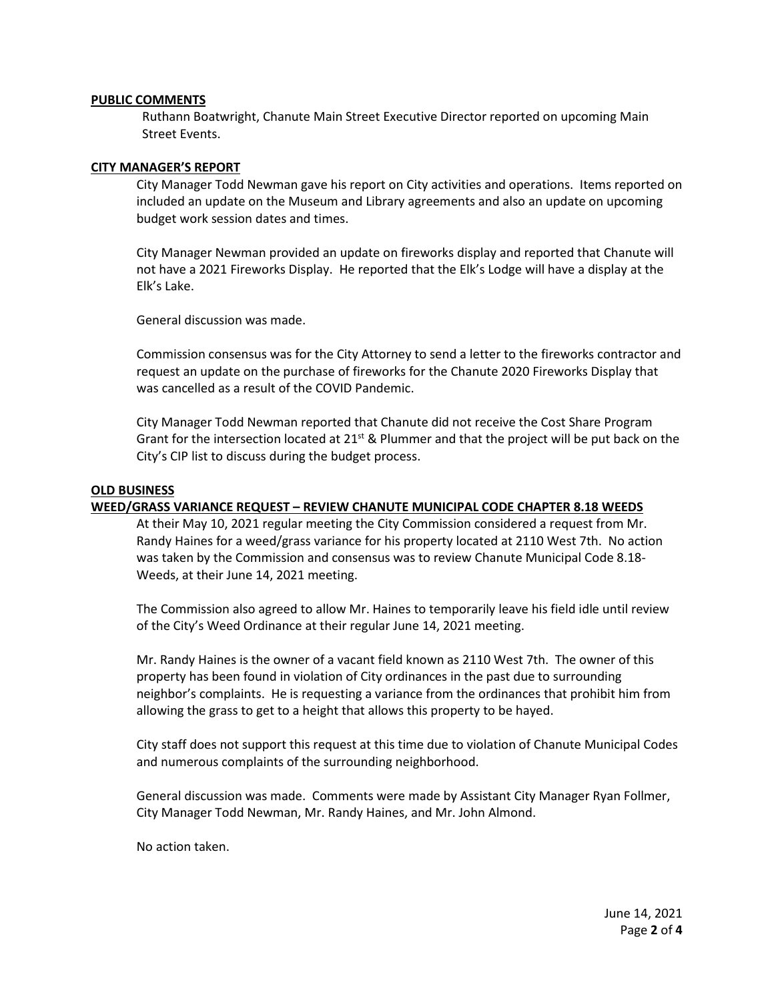### **PUBLIC COMMENTS**

Ruthann Boatwright, Chanute Main Street Executive Director reported on upcoming Main Street Events.

### **CITY MANAGER'S REPORT**

City Manager Todd Newman gave his report on City activities and operations. Items reported on included an update on the Museum and Library agreements and also an update on upcoming budget work session dates and times.

City Manager Newman provided an update on fireworks display and reported that Chanute will not have a 2021 Fireworks Display. He reported that the Elk's Lodge will have a display at the Elk's Lake.

General discussion was made.

Commission consensus was for the City Attorney to send a letter to the fireworks contractor and request an update on the purchase of fireworks for the Chanute 2020 Fireworks Display that was cancelled as a result of the COVID Pandemic.

City Manager Todd Newman reported that Chanute did not receive the Cost Share Program Grant for the intersection located at  $21^{st}$  & Plummer and that the project will be put back on the City's CIP list to discuss during the budget process.

#### **OLD BUSINESS**

### **WEED/GRASS VARIANCE REQUEST – REVIEW CHANUTE MUNICIPAL CODE CHAPTER 8.18 WEEDS**

At their May 10, 2021 regular meeting the City Commission considered a request from Mr. Randy Haines for a weed/grass variance for his property located at 2110 West 7th. No action was taken by the Commission and consensus was to review Chanute Municipal Code 8.18- Weeds, at their June 14, 2021 meeting.

The Commission also agreed to allow Mr. Haines to temporarily leave his field idle until review of the City's Weed Ordinance at their regular June 14, 2021 meeting.

Mr. Randy Haines is the owner of a vacant field known as 2110 West 7th. The owner of this property has been found in violation of City ordinances in the past due to surrounding neighbor's complaints. He is requesting a variance from the ordinances that prohibit him from allowing the grass to get to a height that allows this property to be hayed.

City staff does not support this request at this time due to violation of Chanute Municipal Codes and numerous complaints of the surrounding neighborhood.

General discussion was made. Comments were made by Assistant City Manager Ryan Follmer, City Manager Todd Newman, Mr. Randy Haines, and Mr. John Almond.

No action taken.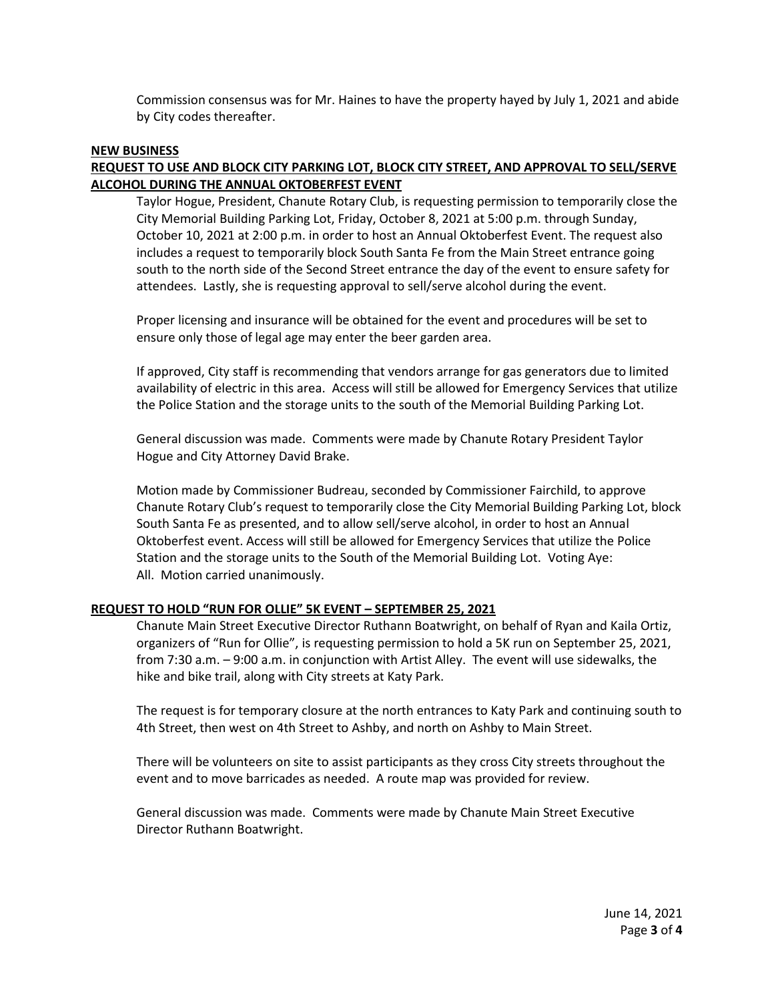Commission consensus was for Mr. Haines to have the property hayed by July 1, 2021 and abide by City codes thereafter.

#### **NEW BUSINESS**

# **REQUEST TO USE AND BLOCK CITY PARKING LOT, BLOCK CITY STREET, AND APPROVAL TO SELL/SERVE ALCOHOL DURING THE ANNUAL OKTOBERFEST EVENT**

Taylor Hogue, President, Chanute Rotary Club, is requesting permission to temporarily close the City Memorial Building Parking Lot, Friday, October 8, 2021 at 5:00 p.m. through Sunday, October 10, 2021 at 2:00 p.m. in order to host an Annual Oktoberfest Event. The request also includes a request to temporarily block South Santa Fe from the Main Street entrance going south to the north side of the Second Street entrance the day of the event to ensure safety for attendees. Lastly, she is requesting approval to sell/serve alcohol during the event.

Proper licensing and insurance will be obtained for the event and procedures will be set to ensure only those of legal age may enter the beer garden area.

If approved, City staff is recommending that vendors arrange for gas generators due to limited availability of electric in this area. Access will still be allowed for Emergency Services that utilize the Police Station and the storage units to the south of the Memorial Building Parking Lot.

General discussion was made. Comments were made by Chanute Rotary President Taylor Hogue and City Attorney David Brake.

Motion made by Commissioner Budreau, seconded by Commissioner Fairchild, to approve Chanute Rotary Club's request to temporarily close the City Memorial Building Parking Lot, block South Santa Fe as presented, and to allow sell/serve alcohol, in order to host an Annual Oktoberfest event. Access will still be allowed for Emergency Services that utilize the Police Station and the storage units to the South of the Memorial Building Lot. Voting Aye: All. Motion carried unanimously.

# **REQUEST TO HOLD "RUN FOR OLLIE" 5K EVENT – SEPTEMBER 25, 2021**

Chanute Main Street Executive Director Ruthann Boatwright, on behalf of Ryan and Kaila Ortiz, organizers of "Run for Ollie", is requesting permission to hold a 5K run on September 25, 2021, from 7:30 a.m. – 9:00 a.m. in conjunction with Artist Alley. The event will use sidewalks, the hike and bike trail, along with City streets at Katy Park.

The request is for temporary closure at the north entrances to Katy Park and continuing south to 4th Street, then west on 4th Street to Ashby, and north on Ashby to Main Street.

There will be volunteers on site to assist participants as they cross City streets throughout the event and to move barricades as needed. A route map was provided for review.

General discussion was made. Comments were made by Chanute Main Street Executive Director Ruthann Boatwright.